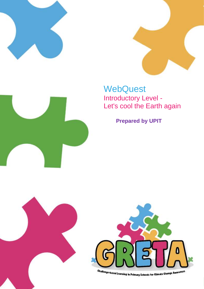





**Prepared by UPIT**



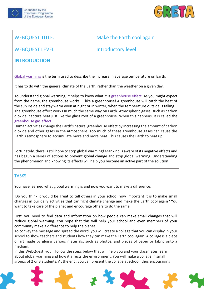



| <b>WEBQUEST TITLE:</b>                                                                                                                                                                                                                                                                                                                                                                                                                                                                                                                                                                                                                                                                                                                                                                                                                                                                                                                                                                                                        | Make the Earth cool again                                                                                                                                                                                                                                                                               |                                                                                                                                                                                                                                                                                                       |  |
|-------------------------------------------------------------------------------------------------------------------------------------------------------------------------------------------------------------------------------------------------------------------------------------------------------------------------------------------------------------------------------------------------------------------------------------------------------------------------------------------------------------------------------------------------------------------------------------------------------------------------------------------------------------------------------------------------------------------------------------------------------------------------------------------------------------------------------------------------------------------------------------------------------------------------------------------------------------------------------------------------------------------------------|---------------------------------------------------------------------------------------------------------------------------------------------------------------------------------------------------------------------------------------------------------------------------------------------------------|-------------------------------------------------------------------------------------------------------------------------------------------------------------------------------------------------------------------------------------------------------------------------------------------------------|--|
| <b>WEBQUEST LEVEL:</b>                                                                                                                                                                                                                                                                                                                                                                                                                                                                                                                                                                                                                                                                                                                                                                                                                                                                                                                                                                                                        | <b>Introductory level</b>                                                                                                                                                                                                                                                                               |                                                                                                                                                                                                                                                                                                       |  |
| <b>INTRODUCTION</b>                                                                                                                                                                                                                                                                                                                                                                                                                                                                                                                                                                                                                                                                                                                                                                                                                                                                                                                                                                                                           |                                                                                                                                                                                                                                                                                                         |                                                                                                                                                                                                                                                                                                       |  |
|                                                                                                                                                                                                                                                                                                                                                                                                                                                                                                                                                                                                                                                                                                                                                                                                                                                                                                                                                                                                                               |                                                                                                                                                                                                                                                                                                         |                                                                                                                                                                                                                                                                                                       |  |
| Global warming is the term used to describe the increase in average temperature on Earth.<br>It has to do with the general climate of the Earth, rather than the weather on a given day.<br>To understand global warming, it helps to know what it is greenhouse effect. As you might expect<br>from the name, the greenhouse works  like a greenhouse! A greenhouse will catch the heat of<br>the sun inside and stay warm even at night or in winter, when the temperature outside is falling.<br>The greenhouse effect works in much the same way on Earth. Atmospheric gases, such as carbon<br>dioxide, capture heat just like the glass roof of a greenhouse. When this happens, it is called the<br>greenhouse gas effect<br>Human activities change the Earth's natural greenhouse effect by increasing the amount of carbon<br>dioxide and other gases in the atmosphere. Too much of these greenhouse gases can cause the<br>Earth's atmosphere to accumulate more and more heat. This causes the Earth to heat up. |                                                                                                                                                                                                                                                                                                         |                                                                                                                                                                                                                                                                                                       |  |
|                                                                                                                                                                                                                                                                                                                                                                                                                                                                                                                                                                                                                                                                                                                                                                                                                                                                                                                                                                                                                               |                                                                                                                                                                                                                                                                                                         | Fortunately, there is still hope to stop global warming! Mankind is aware of its negative effects and<br>has begun a series of actions to prevent global change and stop global warming. Understanding<br>the phenomenon and knowing its effects will help you become an active part of the solution! |  |
|                                                                                                                                                                                                                                                                                                                                                                                                                                                                                                                                                                                                                                                                                                                                                                                                                                                                                                                                                                                                                               |                                                                                                                                                                                                                                                                                                         | <b>TASKS</b>                                                                                                                                                                                                                                                                                          |  |
| You have learned what global warming is and now you want to make a difference.                                                                                                                                                                                                                                                                                                                                                                                                                                                                                                                                                                                                                                                                                                                                                                                                                                                                                                                                                |                                                                                                                                                                                                                                                                                                         |                                                                                                                                                                                                                                                                                                       |  |
| Do you think it would be great to tell others in your school how important it is to make small<br>changes in our daily activities that can fight climate change and make the Earth cool again? You<br>want to take care of the planet and encourage others to do the same.                                                                                                                                                                                                                                                                                                                                                                                                                                                                                                                                                                                                                                                                                                                                                    |                                                                                                                                                                                                                                                                                                         |                                                                                                                                                                                                                                                                                                       |  |
| First, you need to find data and information on how people can make small changes that will<br>reduce global warming. You hope that this will help your school and even members of your<br>community make a difference to help the planet.                                                                                                                                                                                                                                                                                                                                                                                                                                                                                                                                                                                                                                                                                                                                                                                    |                                                                                                                                                                                                                                                                                                         |                                                                                                                                                                                                                                                                                                       |  |
| medium.                                                                                                                                                                                                                                                                                                                                                                                                                                                                                                                                                                                                                                                                                                                                                                                                                                                                                                                                                                                                                       | To convey the message and spread the word, you will create a collage that you can display in your<br>school to show teachers and students how they can make the Earth cool again. A collage is a piece<br>of art made by gluing various materials, such as photos, and pieces of paper or fabric onto a |                                                                                                                                                                                                                                                                                                       |  |
| In this WebQuest, you'll follow the steps below that will help you and your classmates learn<br>about global warming and how it affects the environment. You will make a collage in small<br>groups of 2 or 3 students. At the end, you can present the collage at school, thus encouraging                                                                                                                                                                                                                                                                                                                                                                                                                                                                                                                                                                                                                                                                                                                                   |                                                                                                                                                                                                                                                                                                         |                                                                                                                                                                                                                                                                                                       |  |

 $*$   $\lambda$ 

 $\blacklozenge$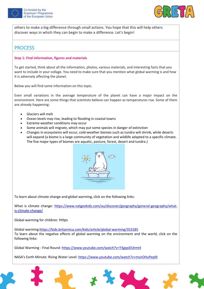



others to make a big difference through small actions. You hope that this will help others discover ways in which they can begin to make a difference. Let's begin!

## **PROCESS**

### **Step 1: Find information, figures and materials**

To get started, think about all the information, photos, various materials, and interesting facts that you want to include in your collage. You need to make sure that you mention what global warming is and how it is adversely affecting the planet.

Below you will find some information on this topic.

Even small variations in the average temperature of the planet can have a major impact on the environment. Here are some things that scientists believe can happen as temperatures rise. Some of them are already happening:

- Glaciers will melt
- Ocean levels may rise, leading to flooding in coastal towns
- Extreme weather conditions may occur
- Some animals will migrate, which may put some species in danger of extinction
- Changes in ecosystems will occur, cold-weather biomes such as tundra will shrink, while deserts will expand (a biome is a large community of vegetation and wildlife adapted to a specific climate. The five major types of biomes are aquatic, pasture, forest, desert and tundra.)



To learn about climate change and global warming, click on the following links:

What is climate change: [https://www.natgeokids.com/au/discover/geography/general-geography/what](https://www.natgeokids.com/au/discover/geography/general-geography/what-is-climate-change/)[is-climate-change/](https://www.natgeokids.com/au/discover/geography/general-geography/what-is-climate-change/)

Global warming for children: https

Global warming[:https://kids.britannica.com/kids/article/global-warming/353185](https://kids.britannica.com/kids/article/global-warming/353185) To learn about the negative effects of global warming on the environment and the world, click on the following links:

Global Warming - Final Round [:https://www.youtube.com/watch?v=Y3gqoDUtmt4](https://www.youtube.com/watch?v=Y3gqoDUtmt4)

NASA's Earth Minute: Rising Water Level:<https://www.youtube.com/watch?v=msnOHuPep9I>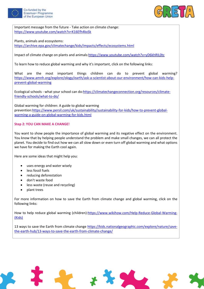



Important message from the future - Take action on climate change: <https://www.youtube.com/watch?v=K16Efh4kxSk>

#### Plants, animals and ecosystems:

<https://archive.epa.gov/climatechange/kids/impacts/effects/ecosystems.html>

Impact of climate change on plants and animal[s:https://www.youtube.com/watch?v=yD6khRIL0tc](https://www.youtube.com/watch?v=yD6khRIL0tc)

To learn how to reduce global warming and why it's important, click on the following links:

What are the most important things children can do to prevent global warming? [https://www.amnh.org/explore/ology/earth/ask-a-scientist-about-our-environment/how-can-kids-help](https://www.amnh.org/explore/ology/earth/ask-a-scientist-about-our-environment/how-can-kids-help-prevent-global-warming)[prevent-global-warming](https://www.amnh.org/explore/ology/earth/ask-a-scientist-about-our-environment/how-can-kids-help-prevent-global-warming)

Ecological schools - what your school can do: https://climatechangeconnection.org/resources/climate[friendly-schools/what-to-do/](https://climatechangeconnection.org/resources/climate-friendly-schools/what-to-do/)

Global warming for children: A guide to global warming prevention[:https://www.persil.com/uk/sustainability/sustainability-for-kids/how-to-prevent-global](https://www.persil.com/uk/sustainability/sustainability-for-kids/how-to-prevent-global-warming-a-guide-on-global-warming-for-kids.html)[warming-a-guide-on-global-warming-for-kids.html](https://www.persil.com/uk/sustainability/sustainability-for-kids/how-to-prevent-global-warming-a-guide-on-global-warming-for-kids.html)

#### **Step 2: YOU CAN MAKE A CHANGE!**

You want to show people the importance of global warming and its negative effect on the environment. You know that by helping people understand the problem and make small changes, we can all protect the planet. You decide to find out how we can all slow down or even turn off global warming and what options we have for making the Earth cool again.

Here are some ideas that might help you:

- uses energy and water wisely
- less fossil fuels
- reducing deforestation
- don't waste food
- less waste (reuse and recycling)
- plant trees

For more information on how to save the Earth from climate change and global warming, click on the following links:

How to help reduce global warming (children): https://www.wikihow.com/Help-Reduce-Global-Warming-[\(Kids\)](https://www.wikihow.com/Help-Reduce-Global-Warming-(Kids))

13 ways to save the Earth from climate change [https://kids.nationalgeographic.com/explore/nature/save](https://kids.nationalgeographic.com/explore/nature/save-the-earth-hub/13-ways-to-save-the-earth-from-climate-change/)[the-earth-hub/13-ways-to-save-the-earth-from-climate-change/](https://kids.nationalgeographic.com/explore/nature/save-the-earth-hub/13-ways-to-save-the-earth-from-climate-change/)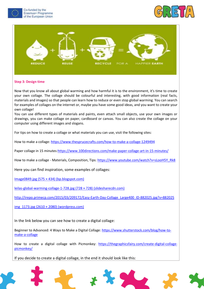





#### **Step 3: Design time**

Now that you know all about global warming and how harmful it is to the environment, it's time to create your own collage. The collage should be colourful and interesting, with good information (real facts, materials and images) so that people can learn how to reduce or even stop global warming. You can search for examples of collages on the internet or, maybe you have some good ideas, and you want to create your own collage!

You can use different types of materials and paints, even attach small objects, use your own images or drawings, you can make collage on paper, cardboard or canvas. You can also create the collage on your computer using different images and slogans.

For tips on how to create a collage or what materials you can use, visit the following sites:

How to make a collage[: https://www.thesprucecrafts.com/how-to-make-a-collage-1249494](https://www.thesprucecrafts.com/how-to-make-a-collage-1249494)

Paper collage in 15 minutes[:https://www.100directions.com/make-paper-collage-art-in-15-minutes/](https://www.100directions.com/make-paper-collage-art-in-15-minutes/)

How to make a collage - Materials, Composition, Tips: [https://www.youtube.com/watch?v=sLooH5Y\\_Rk8](https://www.youtube.com/watch?v=sLooH5Y_Rk8)

Here you can find inspiration, some examples of collages:

Image0849.jpg  $(575 \times 434)$  (bp.blogspot.com)

[leilas-global-warming-collage-1-728.jpg \(728 × 728\) \(slidesharecdn.com\)](http://image.slidesharecdn.com/leilaperaziccollage-1233337518221612-1/95/leilas-global-warming-collage-1-728.jpg?cb=1233316207)

[http://irepo.primecp.com/2015/03/209172/Easy-Earth-Day-Collage\\_Large400\\_ID-882025.jpg?v=882025](http://irepo.primecp.com/2015/03/209172/Easy-Earth-Day-Collage_Large400_ID-882025.jpg?v=882025)

[img\\_1173.jpg \(2610 × 2080\) \(wordpress.com\)](https://writersnotebooksclark.files.wordpress.com/2015/08/img_1173.jpg)

In the link below you can see how to create a digital collage:

Beginner to Advanced: 4 Ways to Make a Digital Collage: [https://www.shutterstock.com/blog/how-to](https://www.shutterstock.com/blog/how-to-make-a-collage)[make-a-collage](https://www.shutterstock.com/blog/how-to-make-a-collage)

How to create a digital collage with Picmonkey: [https://thegraphicsfairy.com/create-digital-collage](https://thegraphicsfairy.com/create-digital-collage-picmonkey/)[picmonkey/](https://thegraphicsfairy.com/create-digital-collage-picmonkey/)

If you decide to create a digital collage, in the end it should look like this: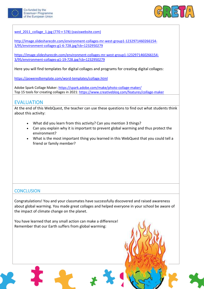



[wed\\_2011\\_collage\\_1.jpg \(770 × 578\) \(oasiswebsite.com\)](http://www.oasiswebsite.com/images/Alive/alive_june1_2011/wed_2011_collage_1.jpg)

[http://image.slidesharecdn.com/environment-collages-mr-west-group1-1232971460266154-](http://image.slidesharecdn.com/environment-collages-mr-west-group1-1232971460266154-3/95/environment-collages-g1-6-728.jpg?cb=1232950279) [3/95/environment-collages-g1-6-728.jpg?cb=1232950279](http://image.slidesharecdn.com/environment-collages-mr-west-group1-1232971460266154-3/95/environment-collages-g1-6-728.jpg?cb=1232950279)

[https://image.slidesharecdn.com/environment-collages-mr-west-group1-1232971460266154-](https://image.slidesharecdn.com/environment-collages-mr-west-group1-1232971460266154-3/95/environment-collages-g1-19-728.jpg?cb=1232950279) [3/95/environment-collages-g1-19-728.jpg?cb=1232950279](https://image.slidesharecdn.com/environment-collages-mr-west-group1-1232971460266154-3/95/environment-collages-g1-19-728.jpg?cb=1232950279)

Here you will find templates for digital collages and programs for creating digital collages:

<https://poweredtemplate.com/word-templates/collage.html>

Adobe Spark Collage Maker[: https://spark.adobe.com/make/photo-collage-maker/](https://spark.adobe.com/make/photo-collage-maker/) Top 15 tools for creating collages in 2021[: https://www.creativebloq.com/features/collage-maker](https://www.creativebloq.com/features/collage-maker)

## EVALUATION

At the end of this WebQuest, the teacher can use these questions to find out what students think about this activity:

- What did you learn from this activity? Can you mention 3 things?
- Can you explain why it is important to prevent global warming and thus protect the environment?
- What is the most important thing you learned in this WebQuest that you could tell a friend or family member?

## **CONCLUSION**

Congratulations! You and your classmates have successfully discovered and raised awareness about global warming. You made great collages and helped everyone in your school be aware of the impact of climate change on the planet.

You have learned that any small action can make a difference! Remember that our Earth suffers from global warming: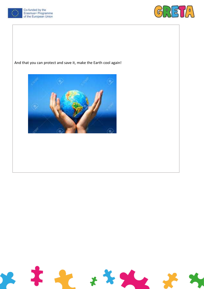



And that you can protect and save it, make the Earth cool again!



a p

**S**